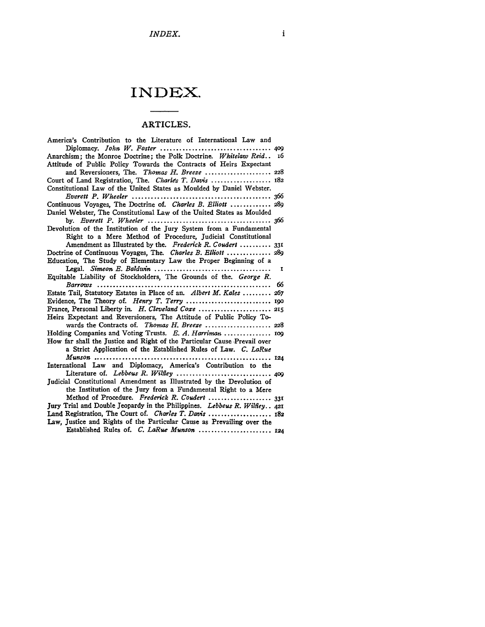# **INDEX.**

## ARTICLES.

| America's Contribution to the Literature of International Law and         |
|---------------------------------------------------------------------------|
| Diplomacy. John W. Foster<br>.400                                         |
| Anarchism; the Monroe Doctrine; the Polk Doctrine. Whitelaw Reid 16       |
| Attitude of Public Policy Towards the Contracts of Heirs Expectant        |
| and Reversioners, The. Thomas H. Breeze  228                              |
| Court of Land Registration, The. Charles T. Davis  182                    |
| Constitutional Law of the United States as Moulded by Daniel Webster.     |
|                                                                           |
| Continuous Voyages, The Doctrine of. Charles B. Elliott  289              |
| Daniel Webster, The Constitutional Law of the United States as Moulded    |
|                                                                           |
| Devolution of the Institution of the Jury System from a Fundamental       |
| Right to a Mere Method of Procedure, Judicial Constitutional              |
| Amendment as Illustrated by the. Frederick R. Coudert  331                |
| Doctrine of Continuous Voyages, The. Charles B. Elliott  289              |
| Education, The Study of Elementary Law the Proper Beginning of a          |
| 1                                                                         |
| Equitable Liability of Stockholders, The Grounds of the. George R.        |
| 66                                                                        |
| Estate Tail, Statutory Estates in Place of an. Albert M. Kales  267       |
|                                                                           |
|                                                                           |
| Heirs Expectant and Reversioners, The Attitude of Public Policy To-       |
|                                                                           |
| Holding Companies and Voting Trusts. E. A. Harriman  109                  |
| How far shall the Justice and Right of the Particular Cause Prevail over  |
| a Strict Application of the Established Rules of Law. C. LaRue            |
| $M$ unson<br>. 124                                                        |
| International Law and Diplomacy, America's Contribution to the            |
|                                                                           |
| Judicial Constitutional Amendment as Illustrated by the Devolution of     |
| the Institution of the Jury from a Fundamental Right to a Mere            |
| Method of Procedure. Frederick R. Coudert  331                            |
| Jury Trial and Double Jeopardy in the Philippines. Lebbeus R. Wilfley 421 |
| Land Registration, The Court of. Charles T. Davis  182                    |
| Law, Justice and Rights of the Particular Cause as Prevailing over the    |
| Established Rules of. C. LaRue Munson  124                                |
|                                                                           |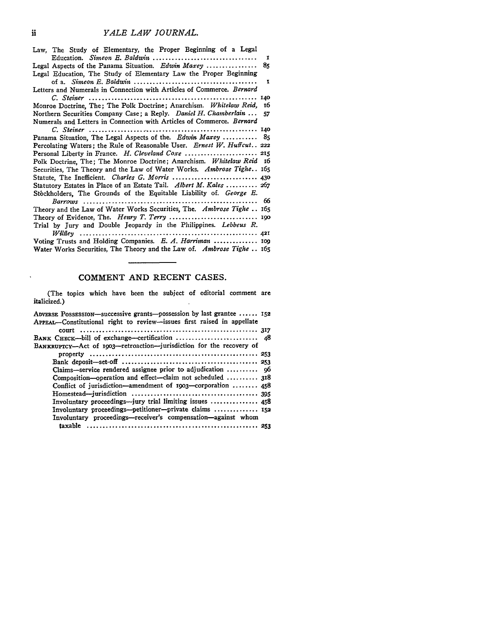| Law, The Study of Elementary, the Proper Beginning of a Legal<br>1             |  |
|--------------------------------------------------------------------------------|--|
|                                                                                |  |
| Legal Aspects of the Panama Situation. Edwin Maxey<br>85                       |  |
| Legal Education, The Study of Elementary Law the Proper Beginning              |  |
| I                                                                              |  |
| Letters and Numerals in Connection with Articles of Commerce. <i>Bernard</i>   |  |
| 140                                                                            |  |
| Monroe Doctrine, The; The Polk Doctrine; Anarchism. Whitelaw Reid, 16          |  |
| Northern Securities Company Case; a Reply. Daniel H. Chamberlain<br>57         |  |
| Numerals and Letters in Connection with Articles of Commerce. Bernard          |  |
|                                                                                |  |
| Panama Situation, The Legal Aspects of the. Edwin Maxey  85                    |  |
| Percolating Waters; the Rule of Reasonable User, <i>Ernest W. Huffcut.</i> 222 |  |
|                                                                                |  |
| Polk Doctrine, The; The Monroe Doctrine; Anarchism. Whitelaw Reid 16           |  |
| Securities, The Theory and the Law of Water Works. Ambrose Tighe 165           |  |
| Statute, The Inefficient. Charles G. Morris  430                               |  |
| Statutory Estates in Place of an Estate Tail. Albert M. Kales  267             |  |
| Stockholders, The Grounds of the Equitable Liability of. George E.             |  |
| 66                                                                             |  |
| Theory and the Law of Water Works Securities, The. Ambrose Tighe  165          |  |
|                                                                                |  |
| Trial by Jury and Double Jeopardy in the Philippines. Lebbeus R.               |  |
|                                                                                |  |
| Voting Trusts and Holding Companies. E. A. Harriman  109                       |  |
| Water Works Securities, The Theory and the Law of. Ambrose Tighe 165           |  |

#### **COMMENT AND RECENT CASES.**

(The topics which have been the subject of editorial comment are italicized.)  $\sim$   $\star$ 

| ADVERSE POSSESSION-successive grants-possession by last grantee  152<br>APPEAL-Constitutional right to review--issues first raised in appellate |  |
|-------------------------------------------------------------------------------------------------------------------------------------------------|--|
|                                                                                                                                                 |  |
| BANK CHECK-bill of exchange-certification  48                                                                                                   |  |
| BANKRUPTCY-Act of 1903-retroaction--jurisdiction for the recovery of                                                                            |  |
|                                                                                                                                                 |  |
|                                                                                                                                                 |  |
| Claims-service rendered assignee prior to adjudication  96                                                                                      |  |
| Composition-operation and effect-claim not scheduled  318                                                                                       |  |
| Conflict of jurisdiction—amendment of 1903—corporation $458$                                                                                    |  |
|                                                                                                                                                 |  |
| Involuntary proceedings—jury trial limiting issues  458                                                                                         |  |
| Involuntary proceedings—petitioner—private claims  152                                                                                          |  |
| Involuntary proceedings--receiver's compensation-against whom                                                                                   |  |
|                                                                                                                                                 |  |
|                                                                                                                                                 |  |

 $\hat{\mathbf{v}}$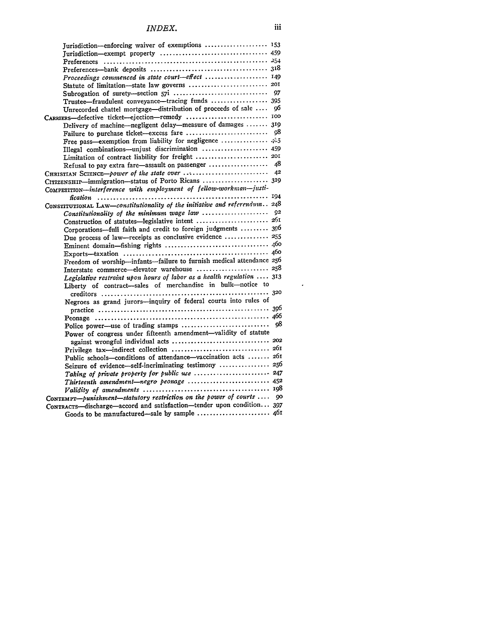| Jurisdiction-enforcing waiver of exemptions  153                              |    |
|-------------------------------------------------------------------------------|----|
|                                                                               |    |
| Preferences                                                                   |    |
|                                                                               |    |
| Proceedings commenced in state court-effect  149                              |    |
|                                                                               |    |
|                                                                               |    |
| Trustee-fraudulent conveyance-tracing funds  395                              |    |
| Unrecorded chattel mortgage-distribution of proceeds of sale                  | 96 |
|                                                                               |    |
| Delivery of machine-negligent delay-measure of damages  319                   |    |
|                                                                               |    |
| Free pass-exemption from liability for negligence                             |    |
| Illegal combinations-unjust discrimination  459                               |    |
| Limitation of contract liability for freight  201                             |    |
| Refusal to pay extra fare-assault on passenger                                | 48 |
|                                                                               | 42 |
| CITIZENSHIP-immigration-status of Porto Ricans  319                           |    |
| COMPETITION-interference with employment of fellow-workman-justi-             |    |
|                                                                               |    |
| CONSTITUTIONAL LAW-constitutionality of the initiative and referendum 248     |    |
|                                                                               | 92 |
| Construction of statutes-legislative intent  261                              |    |
| Corporations-full faith and credit to foreign judgments  396                  |    |
| Due process of law-receipts as conclusive evidence  255                       |    |
|                                                                               |    |
|                                                                               |    |
| Freedom of worship-infants-failure to furnish medical attendance 256          |    |
| Interstate commerce-elevator warehouse  258                                   |    |
| Legislative restraint upon hours of labor as a health regulation $\ldots$ 313 |    |
| Liberty of contract-sales of merchandise in bulk-notice to                    |    |
|                                                                               |    |
| Negroes as grand jurors-inquiry of federal courts into rules of               |    |
|                                                                               |    |
|                                                                               | 98 |
|                                                                               |    |
| Power of congress under fifteenth amendment-validity of statute               |    |
|                                                                               |    |
| Public schools-conditions of attendance-vaccination acts  261                 |    |
| Seizure of evidence-self-incriminating testimony  256                         |    |
| Taking of private property for public use  247                                |    |
| Thirteenth amendment-negro peonage  452                                       |    |
|                                                                               |    |
| CONTEMPT-punishment-statutory restriction on the power of courts              | 90 |
| CONTRACTS-discharge-accord and satisfaction-tender upon condition 397         |    |
| Goods to be manufactured-sale by sample  461                                  |    |

 $\langle \cdot \rangle$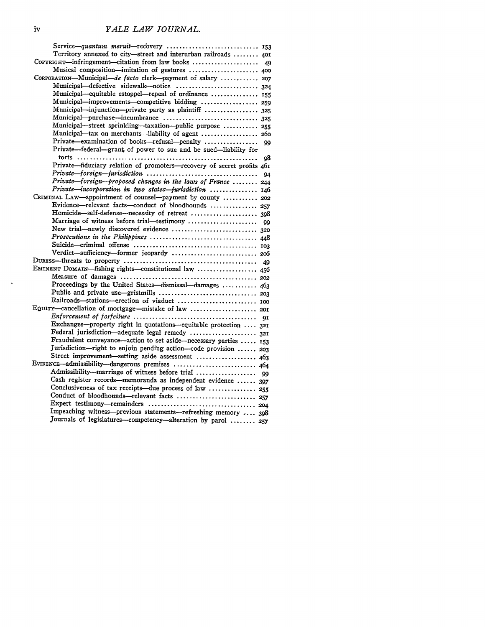| Service-quantum meruit-recovery  153                                   |
|------------------------------------------------------------------------|
| Territory annexed to city-street and interurban railroads  401         |
| COPYRIGHT-infringement-citation from law books  49                     |
| Musical composition-imitation of gestures  400                         |
| CORPORATION-Municipal-de facto clerk-payment of salary  207            |
| Municipal-defective sidewalk-notice  324                               |
| Municipal-equitable estoppel-repeal of ordinance  155                  |
| Municipal-improvements-competitive bidding  259                        |
| Municipal-injunction-private party as plaintiff  325                   |
| Municipal-purchase-incumbrance  325                                    |
| Municipal-street sprinkling-taxation--public purpose  255              |
|                                                                        |
| Municipal-tax on merchants-liability of agent  260                     |
| Private-examination of books-refusal-penalty<br>99                     |
| Private-federal-grant of power to sue and be sued-liability for        |
| 98                                                                     |
| Private-fiduciary relation of promoters-recovery of secret profits 461 |
| 94                                                                     |
| Private-foreign-proposed changes in the laws of France  244            |
| Private-incorporation in two states-jurisdiction  146                  |
| CRIMINAL LAW-appointment of counsel-payment by county  202             |
| Evidence-relevant facts-conduct of bloodhounds  257                    |
|                                                                        |
| Marriage of witness before trial-testimony<br>99                       |
| New trial-newly discovered evidence  320                               |
|                                                                        |
|                                                                        |
| Verdict-sufficiency-former jeopardy  206                               |
| 49                                                                     |
| EMINENT DOMAIN-fishing rights-constitutional law  456                  |
|                                                                        |
| Proceedings by the United States-dismissal-damages  463                |
|                                                                        |
|                                                                        |
|                                                                        |
|                                                                        |
| 91<br>Exchanges-property right in quotations-equitable protection  321 |
|                                                                        |
| Federal jurisdiction-adequate legal remedy  321                        |
| Fraudulent conveyance-action to set aside-necessary parties  153       |
| Jurisdiction-right to enjoin pending action-code provision  203        |
| Street improvement-setting aside assessment  463                       |
| EVIDENCE—admissibility—dangerous premises  464                         |
|                                                                        |
| Cash register records—memoranda as independent evidence  397           |
| Conclusiveness of tax receipts—due process of law  255                 |
| Conduct of bloodhounds-relevant facts  257                             |
|                                                                        |
| Impeaching witness-previous statements-refreshing memory  398          |
| Journals of legislatures-competency-alteration by parol  257           |

 $\mathbf{v}$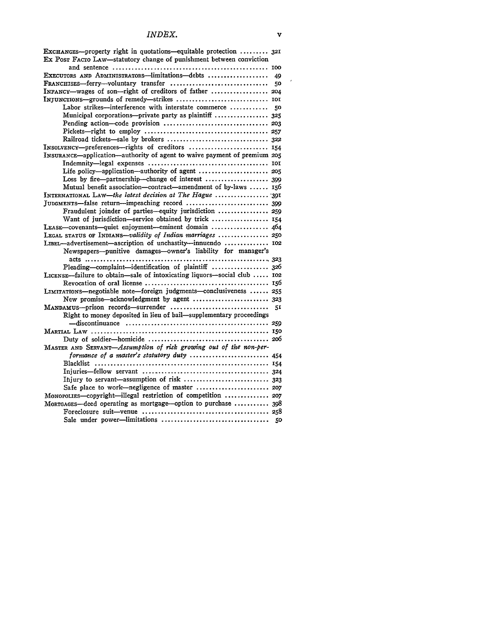| EXCHANGES--property right in quotations-equitable protection  32I<br>Ex Post FACTO LAW-statutory change of punishment between conviction |    |
|------------------------------------------------------------------------------------------------------------------------------------------|----|
|                                                                                                                                          |    |
| EXECUTORS AND ADMINISTRATORS-limitations-debts                                                                                           | 49 |
| $\textbf{FrankchISES}\text{—ferry—volumtary transfer} \dots \dots \dots \dots \dots \dots \dots \dots$                                   | 50 |
| INFANCY-wages of son-right of creditors of father  204                                                                                   |    |
|                                                                                                                                          |    |
| Labor strikes-interference with interstate commerce  50                                                                                  |    |
| Municipal corporations---private party as plaintiff  325                                                                                 |    |
|                                                                                                                                          |    |
|                                                                                                                                          |    |
|                                                                                                                                          |    |
| INSOLVENCY-preferences-rights of creditors  154                                                                                          |    |
| INSURANCE-application-authority of agent to waive payment of premium 205                                                                 |    |
|                                                                                                                                          |    |
| Life policy—application—authority of agent  205                                                                                          |    |
| Loss by fire-partnership-change of interest  399                                                                                         |    |
| Mutual benefit association-contract-amendment of by-laws  156                                                                            |    |
| INTERNATIONAL LAW-the latest decision at The Hague  391                                                                                  |    |
|                                                                                                                                          |    |
| Fraudulent joinder of parties-equity jurisdiction  259                                                                                   |    |
| Want of jurisdiction-service obtained by trick  154                                                                                      |    |
| LEASE-covenants-quiet enjoyment-eminent domain  464                                                                                      |    |
| LEGAL STATUS OF INDIANS-validity of Indian marriages  250                                                                                |    |
| LIBEL-advertisement-ascription of unchastity-innuendo  102                                                                               |    |
| Newspapers--punitive damages-owner's liability for manager's                                                                             |    |
| Pleading-complaint-identification of plaintiff  326                                                                                      |    |
| LICENSE-failure to obtain-sale of intoxicating liquors-social club  102                                                                  |    |
|                                                                                                                                          |    |
| LIMITATIONS-negotiable note-foreign judgments-conclusiveness  255                                                                        |    |
| New promise-acknowledgment by agent  323                                                                                                 |    |
|                                                                                                                                          |    |
| MANDAMUS-prison records-surrender                                                                                                        | 51 |
| Right to money deposited in lieu of bail-supplementary proceedings                                                                       |    |
|                                                                                                                                          |    |
|                                                                                                                                          |    |
|                                                                                                                                          |    |
| MASTER AND SERVANT-Assumption of risk growing out of the non-per-                                                                        |    |
| formance of a master's statutory duty  454                                                                                               |    |
|                                                                                                                                          |    |
|                                                                                                                                          |    |
| Injury to servant-assumption of risk  323                                                                                                |    |
| Safe place to work-negligence of master  207                                                                                             |    |
| MonoroLIES-copyright-illegal restriction of competition  207                                                                             |    |
| MORTGAGES-deed operating as mortgage-option to purchase  398                                                                             |    |
|                                                                                                                                          |    |
|                                                                                                                                          |    |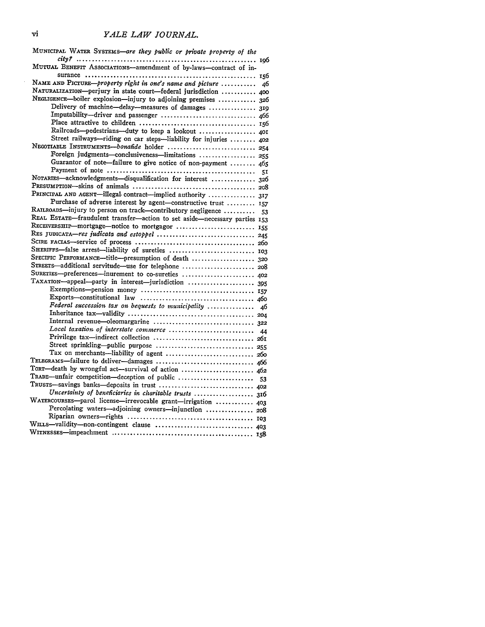#### vi *YALE LAW JOURNAL.*

| MUNICIPAL WATER SYSTEMS—are they public or private property of the        |    |
|---------------------------------------------------------------------------|----|
|                                                                           |    |
| MUTUAL BENEFIT ASSOCIATIONS-amendment of by-laws-contract of in-          |    |
|                                                                           |    |
| NAME AND PICTURE-property right in one's name and picture                 | 46 |
| NATURALIZATION-perjury in state court-federal jurisdiction  400           |    |
| NEGLIGENCE-boiler explosion-injury to adjoining premises  326             |    |
| Delivery of machine-delay--measures of damages  319                       |    |
|                                                                           |    |
|                                                                           |    |
| Railroads-pedestrians-duty to keep a lookout  401                         |    |
| Street railways--riding on car steps-liability for injuries  402          |    |
| NEGOTIABLE INSTRUMENTS-bonafide holder  254                               |    |
| Foreign judgments-conclusiveness-limitations  255                         |    |
| Guarantor of note-failure to give notice of non-payment  465              |    |
| NOTARIES-acknowledgments-disqualification for interest  326               |    |
|                                                                           |    |
| PRINCIPAL AND AGENT-illegal contract-implied authority  317               |    |
| Purchase of adverse interest by agent-constructive trust  157             |    |
| RAILROADS-injury to person on track-contributory negligence               |    |
| REAL ESTATE-fraudulent transfer-action to set aside-necessary parties 153 | 53 |
| RECEIVERSHIP-mortgage-notice to mortgagor  155                            |    |
| RES JUDICATA-res judicata and estoppel  245                               |    |
|                                                                           |    |
| SHERIFFS-false arrest-liability of sureties  103                          |    |
| SPECIFIC PERFORMANCE-title-presumption of death  320                      |    |
| STREETS-additional servitude-use for telephone  208                       |    |
| SURETIES-preferences-inurement to co-sureties  402                        |    |
| TAXATION-appeal-party in interest-jurisdiction  395                       |    |
|                                                                           |    |
|                                                                           |    |
| Federal succession tax on bequests to municipality  46                    |    |
|                                                                           |    |
|                                                                           |    |
| Local taxation of interstate commerce  44                                 |    |
|                                                                           |    |
| Street sprinkling-public purpose  255                                     |    |
| Tax on merchants-liability of agent  260                                  |    |
| TELEGRAMS-failure to deliver-damages  466                                 |    |
| TORT-death by wrongful act-survival of action  462                        |    |
|                                                                           |    |
| Uncertainty of beneficiaries in charitable trusts  316                    |    |
| WATERCOURSES-parol license-irrevocable grant-irrigation  403              |    |
| Percolating waters-adjoining owners-injunction  208                       |    |
|                                                                           |    |
|                                                                           |    |
|                                                                           |    |
|                                                                           |    |